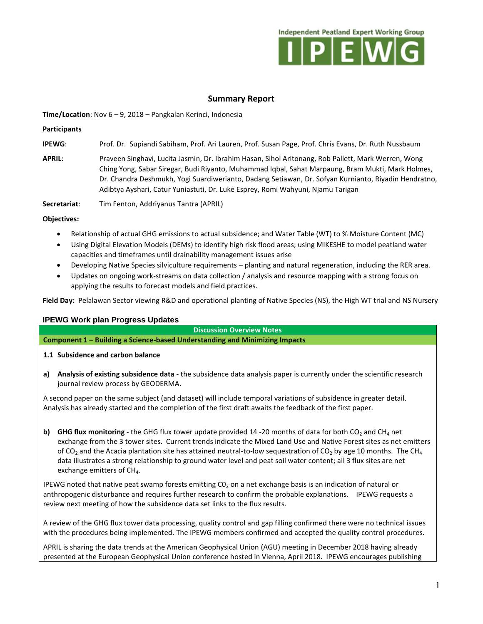

# **Summary Report**

**Time/Location**: Nov 6 – 9, 2018 – Pangkalan Kerinci, Indonesia

#### **Participants**

**IPEWG**: Prof. Dr. Supiandi Sabiham, Prof. Ari Lauren, Prof. Susan Page, Prof. Chris Evans, Dr. Ruth Nussbaum

**APRIL**: Praveen Singhavi, Lucita Jasmin, Dr. Ibrahim Hasan, Sihol Aritonang, Rob Pallett, Mark Werren, Wong Ching Yong, Sabar Siregar, Budi Riyanto, Muhammad Iqbal, Sahat Marpaung, Bram Mukti, Mark Holmes, Dr. Chandra Deshmukh, Yogi Suardiwerianto, Dadang Setiawan, Dr. Sofyan Kurnianto, Riyadin Hendratno, Adibtya Ayshari, Catur Yuniastuti, Dr. Luke Esprey, Romi Wahyuni, Njamu Tarigan

**Secretariat**: Tim Fenton, Addriyanus Tantra (APRIL)

#### **Objectives:**

- Relationship of actual GHG emissions to actual subsidence; and Water Table (WT) to % Moisture Content (MC)
- Using Digital Elevation Models (DEMs) to identify high risk flood areas; using MIKESHE to model peatland water capacities and timeframes until drainability management issues arise
- Developing Native Species silviculture requirements planting and natural regeneration, including the RER area.
- Updates on ongoing work-streams on data collection / analysis and resource mapping with a strong focus on applying the results to forecast models and field practices.

**Field Day:** Pelalawan Sector viewing R&D and operational planting of Native Species (NS), the High WT trial and NS Nursery

## **IPEWG Work plan Progress Updates**

**Discussion Overview Notes**

**Component 1 – Building a Science-based Understanding and Minimizing Impacts**

#### **1.1 Subsidence and carbon balance**

**a) Analysis of existing subsidence data** - the subsidence data analysis paper is currently under the scientific research journal review process by GEODERMA.

A second paper on the same subject (and dataset) will include temporal variations of subsidence in greater detail. Analysis has already started and the completion of the first draft awaits the feedback of the first paper.

**b) GHG flux monitoring** - the GHG flux tower update provided 14 -20 months of data for both  $CO<sub>2</sub>$  and CH<sub>4</sub> net exchange from the 3 tower sites. Current trends indicate the Mixed Land Use and Native Forest sites as net emitters of CO<sub>2</sub> and the Acacia plantation site has attained neutral-to-low sequestration of CO<sub>2</sub> by age 10 months. The CH<sub>4</sub> data illustrates a strong relationship to ground water level and peat soil water content; all 3 flux sites are net exchange emitters of  $CH<sub>4</sub>$ .

IPEWG noted that native peat swamp forests emitting C0<sub>2</sub> on a net exchange basis is an indication of natural or anthropogenic disturbance and requires further research to confirm the probable explanations. IPEWG requests a review next meeting of how the subsidence data set links to the flux results.

A review of the GHG flux tower data processing, quality control and gap filling confirmed there were no technical issues with the procedures being implemented. The IPEWG members confirmed and accepted the quality control procedures.

APRIL is sharing the data trends at the American Geophysical Union (AGU) meeting in December 2018 having already presented at the European Geophysical Union conference hosted in Vienna, April 2018. IPEWG encourages publishing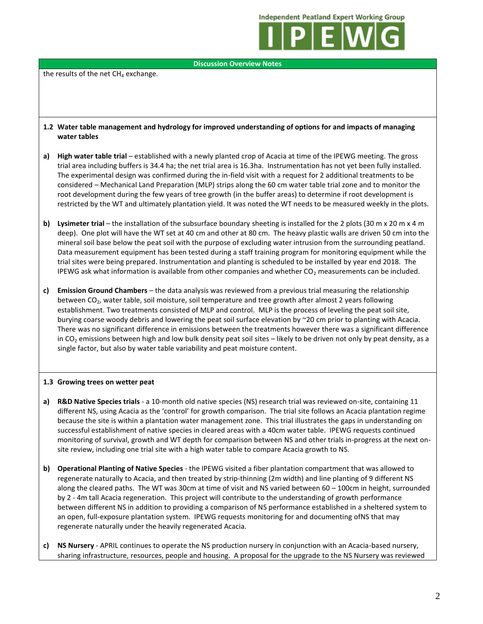**Independent Peatland Expert Working Group** 



**Discussion Overview Notes**

the results of the net  $CH<sub>4</sub>$  exchange.

## **1.2 Water table management and hydrology for improved understanding of options for and impacts of managing water tables**

- **a)** High water table trial established with a newly planted crop of Acacia at time of the IPEWG meeting. The gross trial area including buffers is 34.4 ha; the net trial area is 16.3ha. Instrumentation has not yet been fully installed. The experimental design was confirmed during the in-field visit with a request for 2 additional treatments to be considered – Mechanical Land Preparation (MLP) strips along the 60 cm water table trial zone and to monitor the root development during the few years of tree growth (in the buffer areas) to determine if root development is restricted by the WT and ultimately plantation yield. It was noted the WT needs to be measured weekly in the plots.
- **b) Lysimeter trial**  the installation of the subsurface boundary sheeting is installed for the 2 plots (30 m x 20 m x 4 m deep). One plot will have the WT set at 40 cm and other at 80 cm. The heavy plastic walls are driven 50 cm into the mineral soil base below the peat soil with the purpose of excluding water intrusion from the surrounding peatland. Data measurement equipment has been tested during a staff training program for monitoring equipment while the trial sites were being prepared. Instrumentation and planting is scheduled to be installed by year end 2018. The IPEWG ask what information is available from other companies and whether  $CO<sub>2</sub>$  measurements can be included.
- **c) Emission Ground Chambers**  the data analysis was reviewed from a previous trial measuring the relationship between CO<sub>2</sub>, water table, soil moisture, soil temperature and tree growth after almost 2 years following establishment. Two treatments consisted of MLP and control. MLP is the process of leveling the peat soil site, burying coarse woody debris and lowering the peat soil surface elevation by ~20 cm prior to planting with Acacia. There was no significant difference in emissions between the treatments however there was a significant difference in  $CO<sub>2</sub>$  emissions between high and low bulk density peat soil sites – likely to be driven not only by peat density, as a single factor, but also by water table variability and peat moisture content.

## **1.3 Growing trees on wetter peat**

- **a) R&D Native Species trials** a 10-month old native species (NS) research trial was reviewed on-site, containing 11 different NS, using Acacia as the 'control' for growth comparison. The trial site follows an Acacia plantation regime because the site is within a plantation water management zone. This trial illustrates the gaps in understanding on successful establishment of native species in cleared areas with a 40cm water table. IPEWG requests continued monitoring of survival, growth and WT depth for comparison between NS and other trials in-progress at the next onsite review, including one trial site with a high water table to compare Acacia growth to NS.
- **b) Operational Planting of Native Species** the IPEWG visited a fiber plantation compartment that was allowed to regenerate naturally to Acacia, and then treated by strip-thinning (2m width) and line planting of 9 different NS along the cleared paths. The WT was 30cm at time of visit and NS varied between 60 – 100cm in height, surrounded by 2 - 4m tall Acacia regeneration. This project will contribute to the understanding of growth performance between different NS in addition to providing a comparison of NS performance established in a sheltered system to an open, full-exposure plantation system. IPEWG requests monitoring for and documenting ofNS that may regenerate naturally under the heavily regenerated Acacia.
- **c) NS Nursery** APRIL continues to operate the NS production nursery in conjunction with an Acacia-based nursery, sharing infrastructure, resources, people and housing. A proposal for the upgrade to the NS Nursery was reviewed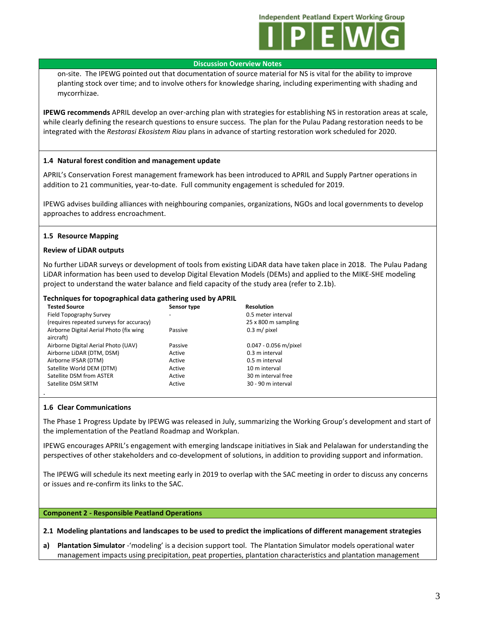**Independent Peatland Expert Working Group** 



#### **Discussion Overview Notes**

on-site. The IPEWG pointed out that documentation of source material for NS is vital for the ability to improve planting stock over time; and to involve others for knowledge sharing, including experimenting with shading and mycorrhizae.

**IPEWG recommends** APRIL develop an over-arching plan with strategies for establishing NS in restoration areas at scale, while clearly defining the research questions to ensure success. The plan for the Pulau Padang restoration needs to be integrated with the *Restorasi Ekosistem Riau* plans in advance of starting restoration work scheduled for 2020.

## **1.4 Natural forest condition and management update**

APRIL's Conservation Forest management framework has been introduced to APRIL and Supply Partner operations in addition to 21 communities, year-to-date. Full community engagement is scheduled for 2019.

IPEWG advises building alliances with neighbouring companies, organizations, NGOs and local governments to develop approaches to address encroachment.

## **1.5 Resource Mapping**

## **Review of LiDAR outputs**

No further LiDAR surveys or development of tools from existing LiDAR data have taken place in 2018. The Pulau Padang LiDAR information has been used to develop Digital Elevation Models (DEMs) and applied to the MIKE-SHE modeling project to understand the water balance and field capacity of the study area (refer to 2.1b).

## **Techniques for topographical data gathering used by APRIL**

| <b>Tested Source</b>                     | Sensor type | <b>Resolution</b>     |
|------------------------------------------|-------------|-----------------------|
| Field Topography Survey                  |             | 0.5 meter interval    |
| (requires repeated surveys for accuracy) |             | 25 x 800 m sampling   |
| Airborne Digital Aerial Photo (fix wing  | Passive     | $0.3$ m/ pixel        |
| aircraft)                                |             |                       |
| Airborne Digital Aerial Photo (UAV)      | Passive     | 0.047 - 0.056 m/pixel |
| Airborne LiDAR (DTM, DSM)                | Active      | 0.3 m interval        |
| Airborne IFSAR (DTM)                     | Active      | 0.5 m interval        |
| Satellite World DEM (DTM)                | Active      | 10 m interval         |
| Satellite DSM from ASTER                 | Active      | 30 m interval free    |
| Satellite DSM SRTM                       | Active      | 30 - 90 m interval    |
|                                          |             |                       |

## **1.6 Clear Communications**

The Phase 1 Progress Update by IPEWG was released in July, summarizing the Working Group's development and start of the implementation of the Peatland Roadmap and Workplan.

IPEWG encourages APRIL's engagement with emerging landscape initiatives in Siak and Pelalawan for understanding the perspectives of other stakeholders and co-development of solutions, in addition to providing support and information.

The IPEWG will schedule its next meeting early in 2019 to overlap with the SAC meeting in order to discuss any concerns or issues and re-confirm its links to the SAC.

## **Component 2 - Responsible Peatland Operations**

**2.1 Modeling plantations and landscapes to be used to predict the implications of different management strategies**

**a) Plantation Simulator** -'modeling' is a decision support tool. The Plantation Simulator models operational water management impacts using precipitation, peat properties, plantation characteristics and plantation management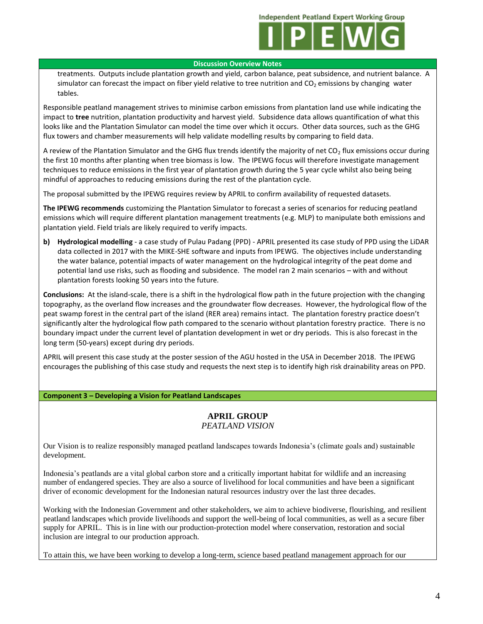

#### **Discussion Overview Notes**

treatments. Outputs include plantation growth and yield, carbon balance, peat subsidence, and nutrient balance. A simulator can forecast the impact on fiber yield relative to tree nutrition and  $CO<sub>2</sub>$  emissions by changing water tables.

Responsible peatland management strives to minimise carbon emissions from plantation land use while indicating the impact to **tree** nutrition, plantation productivity and harvest yield. Subsidence data allows quantification of what this looks like and the Plantation Simulator can model the time over which it occurs. Other data sources, such as the GHG flux towers and chamber measurements will help validate modelling results by comparing to field data.

A review of the Plantation Simulator and the GHG flux trends identify the majority of net  $CO<sub>2</sub>$  flux emissions occur during the first 10 months after planting when tree biomass is low. The IPEWG focus will therefore investigate management techniques to reduce emissions in the first year of plantation growth during the 5 year cycle whilst also being being mindful of approaches to reducing emissions during the rest of the plantation cycle.

The proposal submitted by the IPEWG requires review by APRIL to confirm availability of requested datasets.

**The IPEWG recommends** customizing the Plantation Simulator to forecast a series of scenarios for reducing peatland emissions which will require different plantation management treatments (e.g. MLP) to manipulate both emissions and plantation yield. Field trials are likely required to verify impacts.

**b) Hydrological modelling** - a case study of Pulau Padang (PPD) - APRIL presented its case study of PPD using the LiDAR data collected in 2017 with the MIKE-SHE software and inputs from IPEWG. The objectives include understanding the water balance, potential impacts of water management on the hydrological integrity of the peat dome and potential land use risks, such as flooding and subsidence. The model ran 2 main scenarios – with and without plantation forests looking 50 years into the future.

**Conclusions:** At the island-scale, there is a shift in the hydrological flow path in the future projection with the changing topography, as the overland flow increases and the groundwater flow decreases. However, the hydrological flow of the peat swamp forest in the central part of the island (RER area) remains intact. The plantation forestry practice doesn't significantly alter the hydrological flow path compared to the scenario without plantation forestry practice. There is no boundary impact under the current level of plantation development in wet or dry periods. This is also forecast in the long term (50-years) except during dry periods.

APRIL will present this case study at the poster session of the AGU hosted in the USA in December 2018. The IPEWG encourages the publishing of this case study and requests the next step is to identify high risk drainability areas on PPD.

## **Component 3 – Developing a Vision for Peatland Landscapes**

## **APRIL GROUP** *PEATLAND VISION*

Our Vision is to realize responsibly managed peatland landscapes towards Indonesia's (climate goals and) sustainable development.

Indonesia's peatlands are a vital global carbon store and a critically important habitat for wildlife and an increasing number of endangered species. They are also a source of livelihood for local communities and have been a significant driver of economic development for the Indonesian natural resources industry over the last three decades.

Working with the Indonesian Government and other stakeholders, we aim to achieve biodiverse, flourishing, and resilient peatland landscapes which provide livelihoods and support the well-being of local communities, as well as a secure fiber supply for APRIL. This is in line with our production-protection model where conservation, restoration and social inclusion are integral to our production approach.

To attain this, we have been working to develop a long-term, science based peatland management approach for our